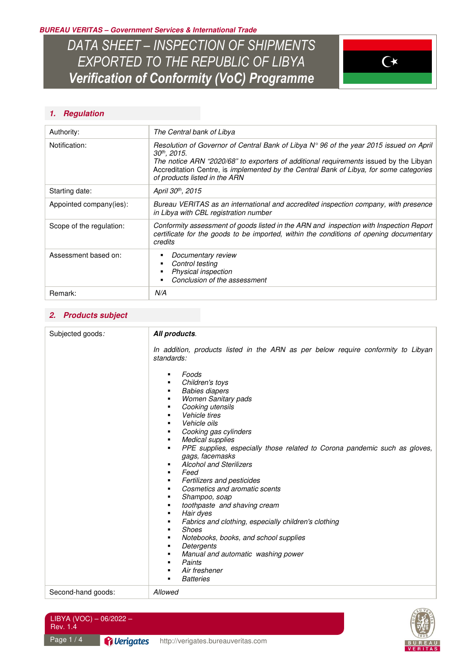**BUREAU VERITAS – Government Services & International Trade** 

*DATA SHEET – INSPECTION OF SHIPMENTS EXPORTED TO THE REPUBLIC OF LIBYA Verification of Conformity (VoC) Programme* 



# **1. Regulation**

| Authority:               | The Central bank of Libya                                                                                                                                                                                                                                                                                                                       |  |
|--------------------------|-------------------------------------------------------------------------------------------------------------------------------------------------------------------------------------------------------------------------------------------------------------------------------------------------------------------------------------------------|--|
| Notification:            | Resolution of Governor of Central Bank of Libya $N^{\circ}$ 96 of the year 2015 issued on April<br>30 <sup>th</sup> , 2015.<br>The notice ARN "2020/68" to exporters of additional requirements issued by the Libyan<br>Accreditation Centre, is implemented by the Central Bank of Libya, for some categories<br>of products listed in the ARN |  |
| Starting date:           | April 30 <sup>th</sup> , 2015                                                                                                                                                                                                                                                                                                                   |  |
| Appointed company(ies):  | Bureau VERITAS as an international and accredited inspection company, with presence<br>in Libya with CBL registration number                                                                                                                                                                                                                    |  |
| Scope of the regulation: | Conformity assessment of goods listed in the ARN and inspection with Inspection Report<br>certificate for the goods to be imported, within the conditions of opening documentary<br>credits                                                                                                                                                     |  |
| Assessment based on:     | Documentary review<br>Control testing<br>Physical inspection<br>Conclusion of the assessment                                                                                                                                                                                                                                                    |  |
| Remark:                  | N/A                                                                                                                                                                                                                                                                                                                                             |  |

### **2. Products subject**

| Subjected goods:   | All products.                                                                                                                                                                                                                                                                                                                                                                                                                                                                                                                                                                                                                                                                                                                                   |
|--------------------|-------------------------------------------------------------------------------------------------------------------------------------------------------------------------------------------------------------------------------------------------------------------------------------------------------------------------------------------------------------------------------------------------------------------------------------------------------------------------------------------------------------------------------------------------------------------------------------------------------------------------------------------------------------------------------------------------------------------------------------------------|
|                    | In addition, products listed in the ARN as per below require conformity to Libyan<br>standards:                                                                                                                                                                                                                                                                                                                                                                                                                                                                                                                                                                                                                                                 |
|                    | Foods<br>٠<br>Children's toys<br><b>Babies diapers</b><br>٠<br><b>Women Sanitary pads</b><br>Cooking utensils<br>Vehicle tires<br>Vehicle oils<br>Cooking gas cylinders<br><b>Medical supplies</b><br>PPE supplies, especially those related to Corona pandemic such as gloves,<br>٠<br>gags, facemasks<br><b>Alcohol and Sterilizers</b><br>٠<br>Feed<br>٠<br>Fertilizers and pesticides<br>■<br>Cosmetics and aromatic scents<br>Shampoo, soap<br>п<br>toothpaste and shaving cream<br>Hair dyes<br>٠<br>Fabrics and clothing, especially children's clothing<br>٠<br><b>Shoes</b><br>٠<br>Notebooks, books, and school supplies<br>п<br>Detergents<br>Manual and automatic washing power<br>Paints<br>٠<br>Air freshener<br><b>Batteries</b> |
| Second-hand goods: | Allowed                                                                                                                                                                                                                                                                                                                                                                                                                                                                                                                                                                                                                                                                                                                                         |

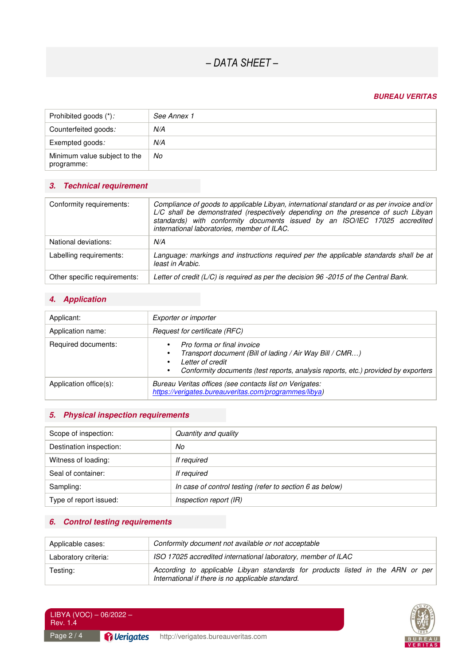# *– DATA SHEET –*

### **BUREAU VERITAS**

| Prohibited goods (*):                      | See Annex 1 |
|--------------------------------------------|-------------|
| Counterfeited goods:                       | N/A         |
| Exempted goods:                            | N/A         |
| Minimum value subject to the<br>programme: | No          |

# **3. Technical requirement**

| Conformity requirements:     | Compliance of goods to applicable Libyan, international standard or as per invoice and/or<br>L/C shall be demonstrated (respectively depending on the presence of such Libyan<br>standards) with conformity documents issued by an ISO/IEC 17025 accredited<br>international laboratories, member of ILAC. |
|------------------------------|------------------------------------------------------------------------------------------------------------------------------------------------------------------------------------------------------------------------------------------------------------------------------------------------------------|
| National deviations:         | N/A                                                                                                                                                                                                                                                                                                        |
| Labelling requirements:      | Language: markings and instructions required per the applicable standards shall be at<br>least in Arabic.                                                                                                                                                                                                  |
| Other specific requirements: | Letter of credit ( $L/C$ ) is required as per the decision 96 -2015 of the Central Bank.                                                                                                                                                                                                                   |

# **4. Application**

| Applicant:             | Exporter or importer                                                                                                                                                                                      |  |
|------------------------|-----------------------------------------------------------------------------------------------------------------------------------------------------------------------------------------------------------|--|
| Application name:      | Request for certificate (RFC)                                                                                                                                                                             |  |
| Required documents:    | Pro forma or final invoice<br>Transport document (Bill of lading / Air Way Bill / CMR)<br>٠<br>Letter of credit<br>Conformity documents (test reports, analysis reports, etc.) provided by exporters<br>٠ |  |
| Application office(s): | Bureau Veritas offices (see contacts list on Verigates:<br>https://verigates.bureauveritas.com/programmes/libya)                                                                                          |  |

### **5. Physical inspection requirements**

| Scope of inspection:    | Quantity and quality                                       |  |
|-------------------------|------------------------------------------------------------|--|
| Destination inspection: | No                                                         |  |
| Witness of loading:     | If required                                                |  |
| Seal of container:      | If required                                                |  |
| Sampling:               | In case of control testing (refer to section $6$ as below) |  |
| Type of report issued:  | Inspection report (IR)                                     |  |

# **6. Control testing requirements**

| Applicable cases:    | Conformity document not available or not acceptable                                                                                 |
|----------------------|-------------------------------------------------------------------------------------------------------------------------------------|
| Laboratory criteria: | ISO 17025 accredited international laboratory, member of ILAC                                                                       |
| Testing:             | According to applicable Libyan standards for products listed in the ARN or per<br>International if there is no applicable standard. |



Page 2/4 LIBYA (VOC) – 06/2022 – Rev. 1.4

Pullerigates http://verigates.bureauveritas.com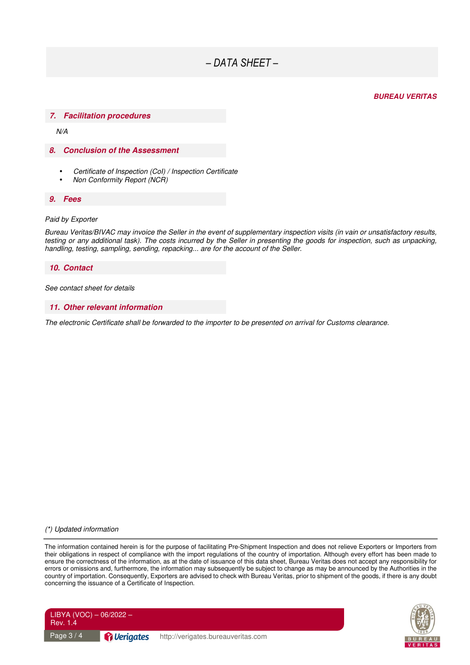# *– DATA SHEET –*

#### **BUREAU VERITAS**

#### **7. Facilitation procedures**

N/A

#### **8. Conclusion of the Assessment**

- Certificate of Inspection (CoI) / Inspection Certificate
- Non Conformity Report (NCR)

#### **9. Fees**

#### Paid by Exporter

Bureau Veritas/BIVAC may invoice the Seller in the event of supplementary inspection visits (in vain or unsatisfactory results, testing or any additional task). The costs incurred by the Seller in presenting the goods for inspection, such as unpacking, handling, testing, sampling, sending, repacking... are for the account of the Seller.

#### **10. Contact**

See contact sheet for details

#### **11. Other relevant information**

The electronic Certificate shall be forwarded to the importer to be presented on arrival for Customs clearance.

#### (\*) Updated information

The information contained herein is for the purpose of facilitating Pre-Shipment Inspection and does not relieve Exporters or Importers from their obligations in respect of compliance with the import regulations of the country of importation. Although every effort has been made to ensure the correctness of the information, as at the date of issuance of this data sheet, Bureau Veritas does not accept any responsibility for errors or omissions and, furthermore, the information may subsequently be subject to change as may be announced by the Authorities in the country of importation. Consequently, Exporters are advised to check with Bureau Veritas, prior to shipment of the goods, if there is any doubt concerning the issuance of a Certificate of Inspection.